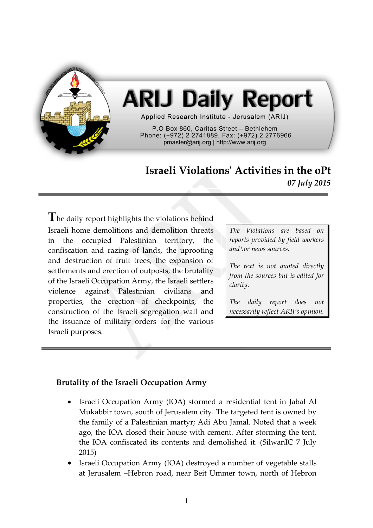

# **ARIJ Daily Report**

Applied Research Institute - Jerusalem (ARIJ)

P.O Box 860. Caritas Street - Bethlehem Phone: (+972) 2 2741889, Fax: (+972) 2 2776966 pmaster@arij.org | http://www.arij.org

## **Israeli Violations' Activities in the oPt** *07 July 2015*

The daily report highlights the violations behind Israeli home demolitions and demolition threats in the occupied Palestinian territory, the confiscation and razing of lands, the uprooting and destruction of fruit trees, the expansion of settlements and erection of outposts, the brutality of the Israeli Occupation Army, the Israeli settlers violence against Palestinian civilians and properties, the erection of checkpoints, the construction of the Israeli segregation wall and the issuance of military orders for the various Israeli purposes.

*The Violations are based on reports provided by field workers and\or news sources.*

*The text is not quoted directly from the sources but is edited for clarity.*

*The daily report does not necessarily reflect ARIJ's opinion.*

### **Brutality of the Israeli Occupation Army**

- Israeli Occupation Army (IOA) stormed a residential tent in Jabal Al Mukabbir town, south of Jerusalem city. The targeted tent is owned by the family of a Palestinian martyr; Adi Abu Jamal. Noted that a week ago, the IOA closed their house with cement. After storming the tent, the IOA confiscated its contents and demolished it. (SilwanIC 7 July 2015)
- Israeli Occupation Army (IOA) destroyed a number of vegetable stalls at Jerusalem –Hebron road, near Beit Ummer town, north of Hebron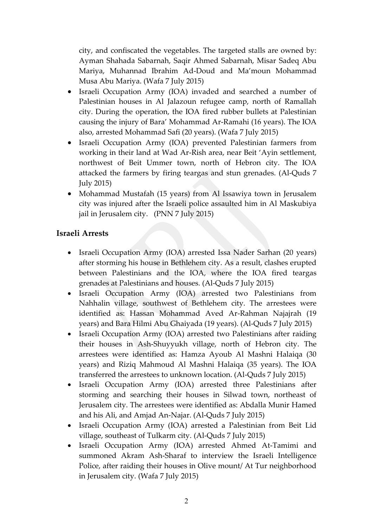city, and confiscated the vegetables. The targeted stalls are owned by: Ayman Shahada Sabarnah, Saqir Ahmed Sabarnah, Misar Sadeq Abu Mariya, Muhannad Ibrahim Ad-Doud and Ma'moun Mohammad Musa Abu Mariya. (Wafa 7 July 2015)

- Israeli Occupation Army (IOA) invaded and searched a number of Palestinian houses in Al Jalazoun refugee camp, north of Ramallah city. During the operation, the IOA fired rubber bullets at Palestinian causing the injury of Bara' Mohammad Ar-Ramahi (16 years). The IOA also, arrested Mohammad Safi (20 years). (Wafa 7 July 2015)
- Israeli Occupation Army (IOA) prevented Palestinian farmers from working in their land at Wad Ar-Rish area, near Beit 'Ayin settlement, northwest of Beit Ummer town, north of Hebron city. The IOA attacked the farmers by firing teargas and stun grenades. (Al-Quds 7 July 2015)
- Mohammad Mustafah (15 years) from Al Issawiya town in Jerusalem city was injured after the Israeli police assaulted him in Al Maskubiya jail in Jerusalem city. (PNN 7 July 2015)

#### **Israeli Arrests**

- Israeli Occupation Army (IOA) arrested Issa Nader Sarhan (20 years) after storming his house in Bethlehem city. As a result, clashes erupted between Palestinians and the IOA, where the IOA fired teargas grenades at Palestinians and houses. (Al-Quds 7 July 2015)
- Israeli Occupation Army (IOA) arrested two Palestinians from Nahhalin village, southwest of Bethlehem city. The arrestees were identified as: Hassan Mohammad Aved Ar-Rahman Najajrah (19 years) and Bara Hilmi Abu Ghaiyada (19 years). (Al-Quds 7 July 2015)
- Israeli Occupation Army (IOA) arrested two Palestinians after raiding their houses in Ash-Shuyyukh village, north of Hebron city. The arrestees were identified as: Hamza Ayoub Al Mashni Halaiqa (30 years) and Riziq Mahmoud Al Mashni Halaiqa (35 years). The IOA transferred the arrestees to unknown location. (Al-Quds 7 July 2015)
- Israeli Occupation Army (IOA) arrested three Palestinians after storming and searching their houses in Silwad town, northeast of Jerusalem city. The arrestees were identified as: Abdalla Munir Hamed and his Ali, and Amjad An-Najar. (Al-Quds 7 July 2015)
- Israeli Occupation Army (IOA) arrested a Palestinian from Beit Lid village, southeast of Tulkarm city. (Al-Quds 7 July 2015)
- Israeli Occupation Army (IOA) arrested Ahmed At-Tamimi and summoned Akram Ash-Sharaf to interview the Israeli Intelligence Police, after raiding their houses in Olive mount/ At Tur neighborhood in Jerusalem city. (Wafa 7 July 2015)